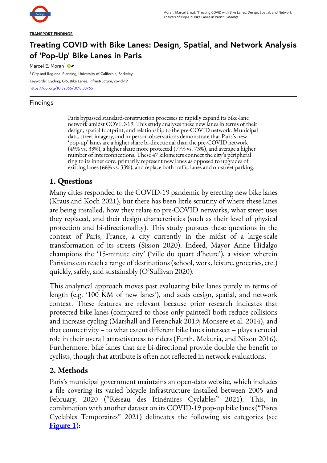

#### **TRANSPORT FINDINGS**

# **Treating COVID with Bike Lanes: Design, Spatial, and Network Analysis of 'Pop-Up' Bike Lanes in Paris**

Marcel E. Moran<sup>1</sup>

<sup>1</sup> City and Regional Planning, University of California, Berkeley Keywords: Cycling, GIS, Bike Lanes, Infrastructure, covid-19 <https://doi.org/10.32866/001c.33765>

### Findings

Paris bypassed standard-construction processes to rapidly expand its bike-lane network amidst COVID-19. This study analyses these new lanes in terms of their design, spatial footprint, and relationship to the pre-COVID network. Municipal data, street imagery, and in-person observations demonstrate that Paris's new 'pop-up' lanes are a higher share bi-directional than the pre-COVID network (49% vs. 39%), a higher share more protected (77% vs. 73%), and average a higher number of interconnections. These 47 kilometers connect the city's peripheral ring to its inner core, primarily represent new lanes as opposed to upgrades of existing lanes (66% vs. 33%), and replace both traffic lanes and on-street parking.

## **1. Questions**

Many cities responded to the COVID-19 pandemic by erecting new bike lanes (Kraus and Koch 2021), but there has been little scrutiny of where these lanes are being installed, how they relate to pre-COVID networks, what street uses they replaced, and their design characteristics (such as their level of physical protection and bi-directionality). This study pursues these questions in the context of Paris, France, a city currently in the midst of a large-scale transformation of its streets (Sisson 2020). Indeed, Mayor Anne Hidalgo champions the '15-minute city' ('ville du quart d'heure'), a vision wherein Parisians can reach a range of destinations (school, work, leisure, groceries, etc.) quickly, safely, and sustainably (O'Sullivan 2020).

This analytical approach moves past evaluating bike lanes purely in terms of length (e.g. '100 KM of new lanes'), and adds design, spatial, and network context. These features are relevant because prior research indicates that protected bike lanes (compared to those only painted) both reduce collisions and increase cycling (Marshall and Ferenchak 2019; Monsere et al. 2014), and that connectivity – to what extent different bike lanes intersect – plays a crucial role in their overall attractiveness to riders (Furth, Mekuria, and Nixon 2016). Furthermore, bike lanes that are bi-directional provide double the benefit to cyclists, though that attribute is often not reflected in network evaluations.

## **2. Methods**

Paris's municipal government maintains an open-data website, which includes a file covering its varied bicycle infrastructure installed between 2005 and February, 2020 ("Réseau des Itinéraires Cyclables" 2021). This, in combination with another dataset on its COVID-19 pop-up bike lanes ("Pistes Cyclables Temporaires" 2021) delineates the following six categories (see **[Figure 1](#page-1-0)**):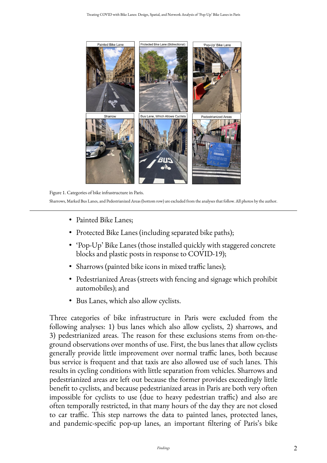<span id="page-1-0"></span>

Figure 1. Categories of bike infrastructure in Paris.

Sharrows, Marked Bus Lanes, and Pedestrianized Areas (bottom row) are excluded from the analyses that follow. All photos by the author.

- Painted Bike Lanes;
- Protected Bike Lanes (including separated bike paths);
- 'Pop-Up' Bike Lanes (those installed quickly with staggered concrete blocks and plastic posts in response to COVID-19);
- Sharrows (painted bike icons in mixed traffic lanes);
- Pedestrianized Areas (streets with fencing and signage which prohibit automobiles); and
- Bus Lanes, which also allow cyclists.

Three categories of bike infrastructure in Paris were excluded from the following analyses: 1) bus lanes which also allow cyclists, 2) sharrows, and 3) pedestrianized areas. The reason for these exclusions stems from on-theground observations over months of use. First, the bus lanes that allow cyclists generally provide little improvement over normal traffic lanes, both because bus service is frequent and that taxis are also allowed use of such lanes. This results in cycling conditions with little separation from vehicles. Sharrows and pedestrianized areas are left out because the former provides exceedingly little benefit to cyclists, and because pedestrianized areas in Paris are both very often impossible for cyclists to use (due to heavy pedestrian traffic) and also are often temporally restricted, in that many hours of the day they are not closed to car traffic. This step narrows the data to painted lanes, protected lanes, and pandemic-specific pop-up lanes, an important filtering of Paris's bike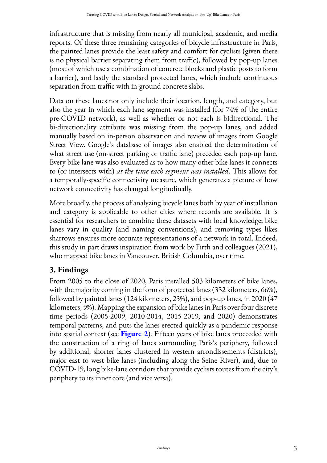infrastructure that is missing from nearly all municipal, academic, and media reports. Of these three remaining categories of bicycle infrastructure in Paris, the painted lanes provide the least safety and comfort for cyclists (given there is no physical barrier separating them from traffic), followed by pop-up lanes (most of which use a combination of concrete blocks and plastic posts to form a barrier), and lastly the standard protected lanes, which include continuous separation from traffic with in-ground concrete slabs.

Data on these lanes not only include their location, length, and category, but also the year in which each lane segment was installed (for 74% of the entire pre-COVID network), as well as whether or not each is bidirectional. The bi-directionality attribute was missing from the pop-up lanes, and added manually based on in-person observation and review of images from Google Street View. Google's database of images also enabled the determination of what street use (on-street parking or traffic lane) preceded each pop-up lane. Every bike lane was also evaluated as to how many other bike lanes it connects to (or intersects with) *at the time each segment was installed*. This allows for a temporally-specific connectivity measure, which generates a picture of how network connectivity has changed longitudinally.

More broadly, the process of analyzing bicycle lanes both by year of installation and category is applicable to other cities where records are available. It is essential for researchers to combine these datasets with local knowledge; bike lanes vary in quality (and naming conventions), and removing types likes sharrows ensures more accurate representations of a network in total. Indeed, this study in part draws inspiration from work by Firth and colleagues (2021), who mapped bike lanes in Vancouver, British Columbia, over time.

# **3. Findings**

From 2005 to the close of 2020, Paris installed 503 kilometers of bike lanes, with the majority coming in the form of protected lanes (332 kilometers, 66%), followed by painted lanes (124 kilometers, 25%), and pop-up lanes, in 2020 (47 kilometers, 9%). Mapping the expansion of bike lanes in Paris over four discrete time periods (2005-2009, 2010-2014, 2015-2019, and 2020) demonstrates temporal patterns, and puts the lanes erected quickly as a pandemic response into spatial context (see **[Figure 2](#page-3-0)**). Fifteen years of bike lanes proceeded with the construction of a ring of lanes surrounding Paris's periphery, followed by additional, shorter lanes clustered in western arrondissements (districts), major east to west bike lanes (including along the Seine River), and, due to COVID-19, long bike-lane corridors that provide cyclists routes from the city's periphery to its inner core (and vice versa).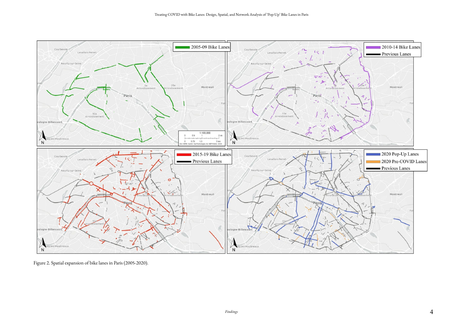

<span id="page-3-0"></span>[Figure 2. Spatial expansion of bike lanes in Paris \(2005-2020\).](https://findingspress.org/article/33765-treating-covid-with-bike-lanes-design-spatial-and-network-analysis-of-pop-up-bike-lanes-in-paris/attachment/85737.jpg?auth_token=ElvdDDS1N7XWUEOImd78)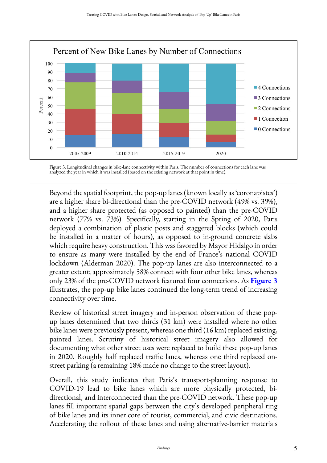<span id="page-4-0"></span>

Figure 3. Longitudinal changes in bike-lane connectivity within Paris. The number of connections for each lane was analyzed the year in which it was installed (based on the existing network at that point in time).

Beyond the spatial footprint, the pop-up lanes (known locally as 'coronapistes') are a higher share bi-directional than the pre-COVID network (49% vs. 39%), and a higher share protected (as opposed to painted) than the pre-COVID network (77% vs. 73%). Specifically, starting in the Spring of 2020, Paris deployed a combination of plastic posts and staggered blocks (which could be installed in a matter of hours), as opposed to in-ground concrete slabs which require heavy construction. This was favored by Mayor Hidalgo in order to ensure as many were installed by the end of France's national COVID lockdown (Alderman 2020). The pop-up lanes are also interconnected to a greater extent; approximately 58% connect with four other bike lanes, whereas only 23% of the pre-COVID network featured four connections. As **[Figure 3](#page-4-0)**  illustrates, the pop-up bike lanes continued the long-term trend of increasing connectivity over time.

Review of historical street imagery and in-person observation of these popup lanes determined that two thirds (31 km) were installed where no other bike lanes were previously present, whereas one third (16 km) replaced existing, painted lanes. Scrutiny of historical street imagery also allowed for documenting what other street uses were replaced to build these pop-up lanes in 2020. Roughly half replaced traffic lanes, whereas one third replaced onstreet parking (a remaining 18% made no change to the street layout).

Overall, this study indicates that Paris's transport-planning response to COVID-19 lead to bike lanes which are more physically protected, bidirectional, and interconnected than the pre-COVID network. These pop-up lanes fill important spatial gaps between the city's developed peripheral ring of bike lanes and its inner core of tourist, commercial, and civic destinations. Accelerating the rollout of these lanes and using alternative-barrier materials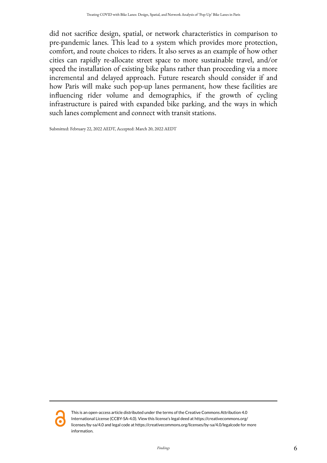did not sacrifice design, spatial, or network characteristics in comparison to pre-pandemic lanes. This lead to a system which provides more protection, comfort, and route choices to riders. It also serves as an example of how other cities can rapidly re-allocate street space to more sustainable travel, and/or speed the installation of existing bike plans rather than proceeding via a more incremental and delayed approach. Future research should consider if and how Paris will make such pop-up lanes permanent, how these facilities are influencing rider volume and demographics, if the growth of cycling infrastructure is paired with expanded bike parking, and the ways in which such lanes complement and connect with transit stations.

Submitted: February 22, 2022 AEDT, Accepted: March 20, 2022 AEDT



This is an open-access article distributed under the terms of the Creative Commons Attribution 4.0 International License (CCBY-SA-4.0). View this license's legal deed at https://creativecommons.org/ licenses/by-sa/4.0 and legal code at https://creativecommons.org/licenses/by-sa/4.0/legalcode for more information.